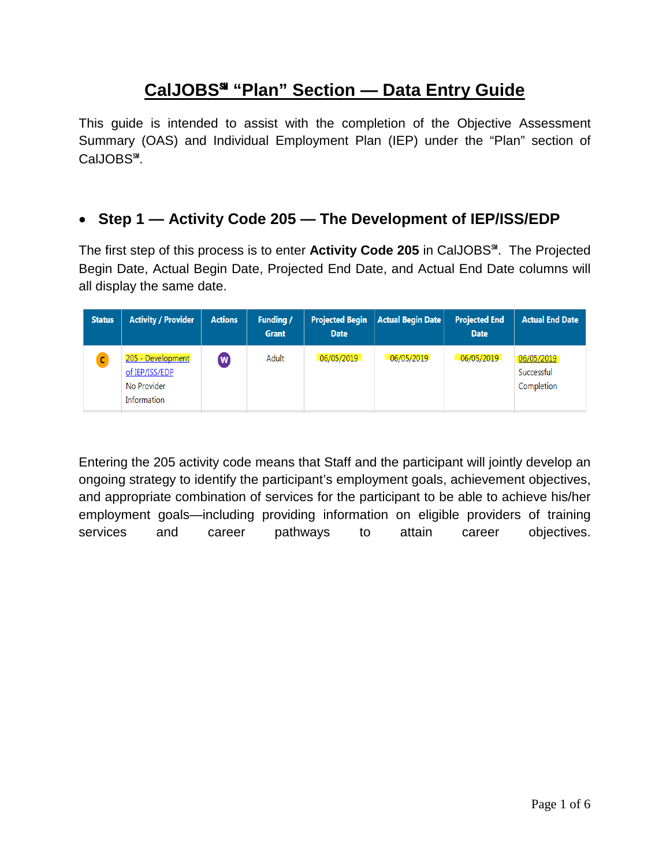# **CalJOBS**℠ **"Plan" Section — Data Entry Guide**

This guide is intended to assist with the completion of the Objective Assessment Summary (OAS) and Individual Employment Plan (IEP) under the "Plan" section of CalJOBS℠.

## • **Step 1 — Activity Code 205 — The Development of IEP/ISS/EDP**

The first step of this process is to enter **Activity Code 205** in CalJOBS℠. The Projected Begin Date, Actual Begin Date, Projected End Date, and Actual End Date columns will all display the same date.

| <b>Status</b> | <b>Activity / Provider</b>                                        | <b>Actions</b> | <b>Funding /</b><br><b>Grant</b> | <b>Date</b> | <b>Projected Begin   Actual Begin Date  </b> | <b>Projected End</b><br><b>Date</b> | <b>Actual End Date</b>                 |
|---------------|-------------------------------------------------------------------|----------------|----------------------------------|-------------|----------------------------------------------|-------------------------------------|----------------------------------------|
|               | 205 - Development<br>of IEP/ISS/EDP<br>No Provider<br>Information | $\mathbf{w}$   | Adult                            | 06/05/2019  | 06/05/2019                                   | 06/05/2019                          | 06/05/2019<br>Successful<br>Completion |

Entering the 205 activity code means that Staff and the participant will jointly develop an ongoing strategy to identify the participant's employment goals, achievement objectives, and appropriate combination of services for the participant to be able to achieve his/her employment goals—including providing information on eligible providers of training services and career pathways to attain career objectives.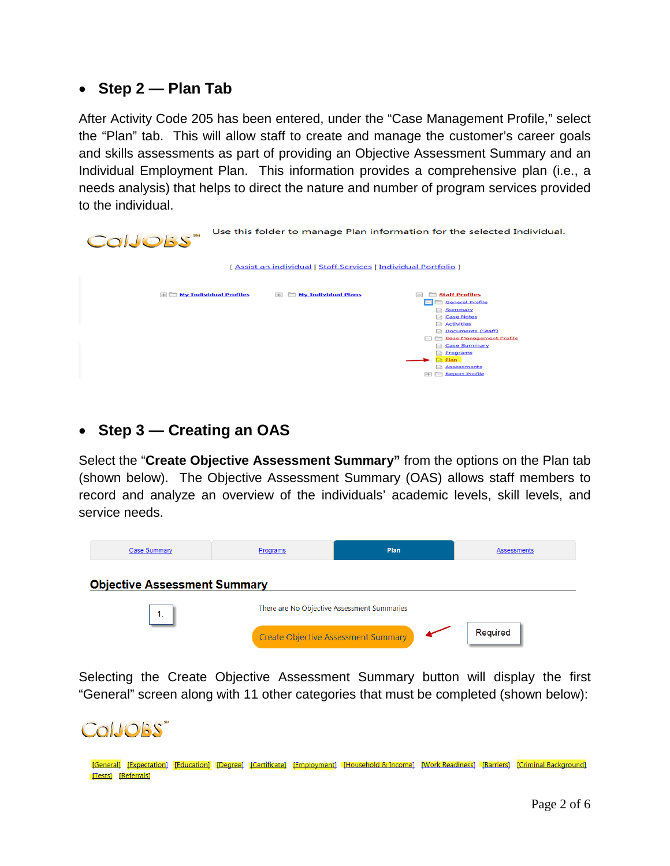#### • **Step 2 — Plan Tab**

After Activity Code 205 has been entered, under the "Case Management Profile," select the "Plan" tab. This will allow staff to create and manage the customer's career goals and skills assessments as part of providing an Objective Assessment Summary and an Individual Employment Plan. This information provides a comprehensive plan (i.e., a needs analysis) that helps to direct the nature and number of program services provided to the individual.

| CalJOBS"                      |                                                                         | Use this folder to manage Plan information for the selected Individual.                                                                                                                                                                                                                                                             |
|-------------------------------|-------------------------------------------------------------------------|-------------------------------------------------------------------------------------------------------------------------------------------------------------------------------------------------------------------------------------------------------------------------------------------------------------------------------------|
|                               | <u>[ Assist an individual   Staff Services   Individual Portfolio ]</u> |                                                                                                                                                                                                                                                                                                                                     |
| $\Box$ My Individual Profiles | <b>My Individual Plans</b><br>$\Box$                                    | <b>Staff Profiles</b><br>$=$<br>General Profile<br>$\blacksquare$<br><b>Summary</b><br><b>Case Notes</b><br><b>Activities</b><br><b>Documents (Staff)</b><br>E.<br>Case Management Profile<br>$\overline{\phantom{0}}$<br><b>Case Summary</b><br><b>Programs</b><br><b>D</b> Plan<br><b>Assessments</b><br><b>ED</b> Report Profile |

#### • **Step 3 — Creating an OAS**

Select the "**Create Objective Assessment Summary"** from the options on the Plan tab (shown below). The Objective Assessment Summary (OAS) allows staff members to record and analyze an overview of the individuals' academic levels, skill levels, and service needs.

| Case Summary                        | Programs                                    | Plan                                | <b>Assessments</b> |
|-------------------------------------|---------------------------------------------|-------------------------------------|--------------------|
| <b>Objective Assessment Summary</b> |                                             |                                     |                    |
| 1.                                  | There are No Objective Assessment Summaries |                                     |                    |
|                                     |                                             | Create Objective Assessment Summary | Required           |

Selecting the Create Objective Assessment Summary button will display the first "General" screen along with 11 other categories that must be completed (shown below):

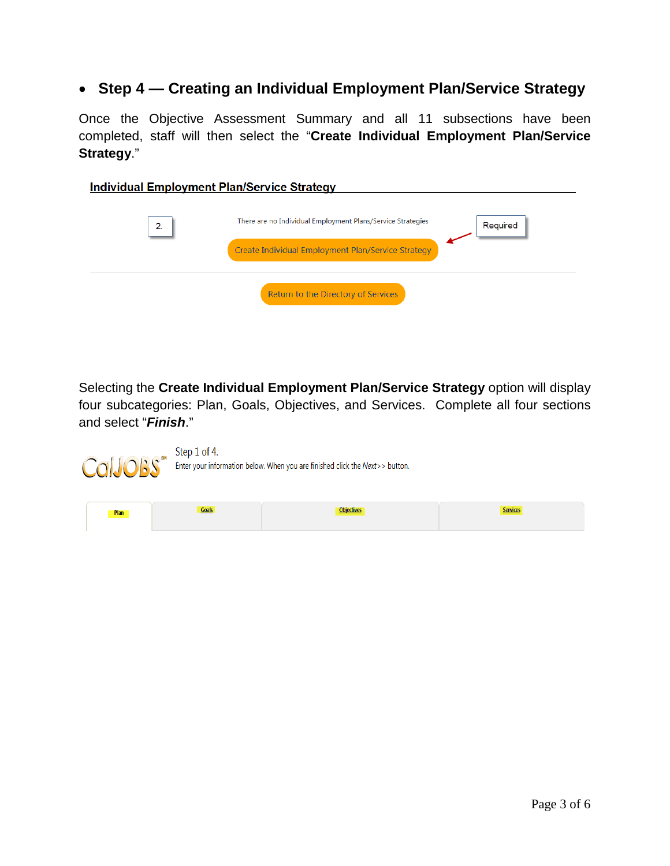### • **Step 4 — Creating an Individual Employment Plan/Service Strategy**

Once the Objective Assessment Summary and all 11 subsections have been completed, staff will then select the "**Create Individual Employment Plan/Service Strategy**."

| <b>Individual Employment Plan/Service Strategy</b> |                                                                                                                   |          |
|----------------------------------------------------|-------------------------------------------------------------------------------------------------------------------|----------|
| 2.                                                 | There are no Individual Employment Plans/Service Strategies<br>Create Individual Employment Plan/Service Strategy | Required |
|                                                    | Return to the Directory of Services                                                                               |          |

Selecting the **Create Individual Employment Plan/Service Strategy** option will display four subcategories: Plan, Goals, Objectives, and Services. Complete all four sections and select "*Finish*."

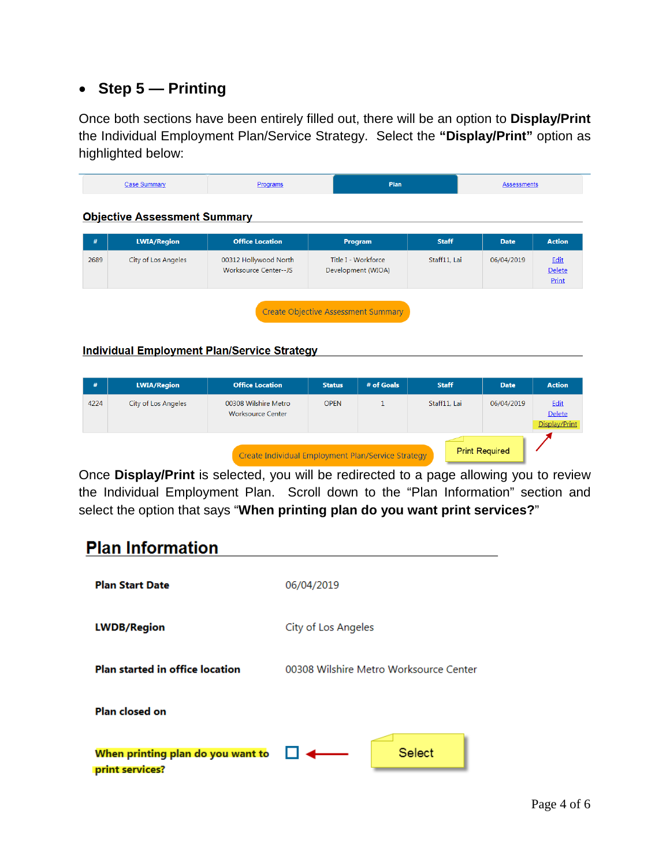## • **Step 5 — Printing**

Once both sections have been entirely filled out, there will be an option to **Display/Print** the Individual Employment Plan/Service Strategy. Select the **"Display/Print"** option as highlighted below:

| oram | <b>Plan</b> |  |
|------|-------------|--|

#### Objective Assessment Summary New York Changes and Changes and Changes and Changes and Changes and Changes and

| #    | <b>LWIA/Region</b>  | <b>Office Location</b>                         | Program                                   | <b>Staff</b> | <b>Date</b> | <b>Action</b>           |
|------|---------------------|------------------------------------------------|-------------------------------------------|--------------|-------------|-------------------------|
| 2689 | City of Los Angeles | 00312 Hollywood North<br>Worksource Center--JS | Title I - Workforce<br>Development (WIOA) | Staff11, Lai | 06/04/2019  | Edit<br>Delete<br>Print |
|      |                     |                                                | Create Objective Assessment Summary       |              |             |                         |

#### Individual Employment Plan/Service Strategy National Communications of the Communication

| #                                                                           | <b>LWIA/Region</b>  | <b>Office Location</b>                           | <b>Status</b> | # of Goals | <b>Staff</b> | <b>Date</b> | <b>Action</b>                   |  |
|-----------------------------------------------------------------------------|---------------------|--------------------------------------------------|---------------|------------|--------------|-------------|---------------------------------|--|
| 4224                                                                        | City of Los Angeles | 00308 Wilshire Metro<br><b>Worksource Center</b> | <b>OPEN</b>   |            | Staff11, Lai | 06/04/2019  | Edit<br>Delete<br>Display/Print |  |
| <b>Print Required</b><br>Create Individual Employment Plan/Service Strategy |                     |                                                  |               |            |              |             |                                 |  |

Once **Display/Print** is selected, you will be redirected to a page allowing you to review the Individual Employment Plan. Scroll down to the "Plan Information" section and select the option that says "**When printing plan do you want print services?**"

# **Plan Information**

| <b>Plan Start Date</b>                               | 06/04/2019                             |
|------------------------------------------------------|----------------------------------------|
| <b>LWDB/Region</b>                                   | City of Los Angeles                    |
| Plan started in office location                      | 00308 Wilshire Metro Worksource Center |
| Plan closed on                                       |                                        |
| When printing plan do you want to<br>print services? | <b>Select</b>                          |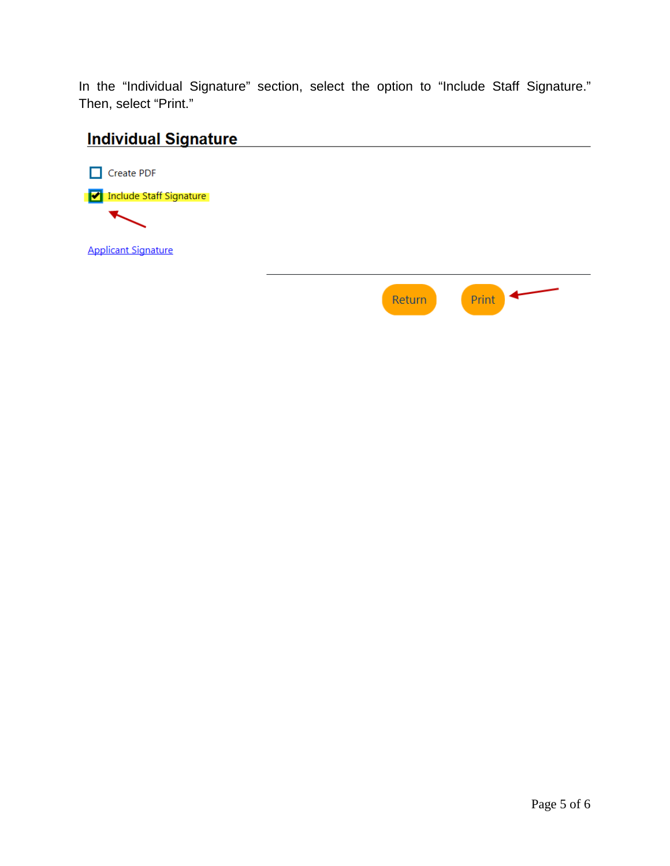In the "Individual Signature" section, select the option to "Include Staff Signature." Then, select "Print."